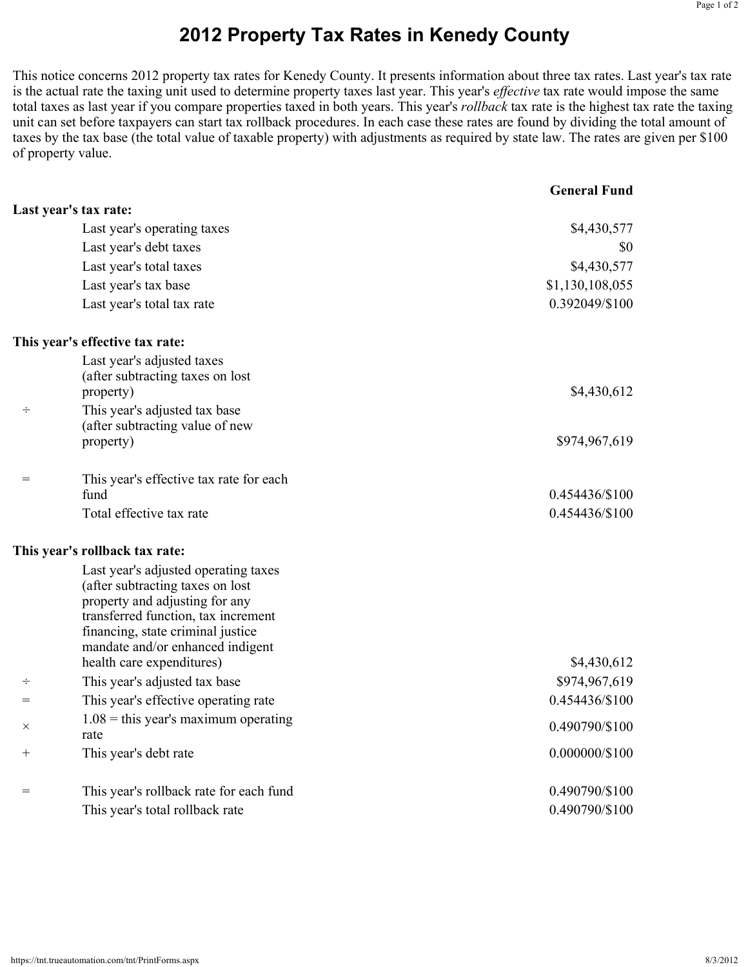## **2012 Property Tax Rates in Kenedy County**

This notice concerns 2012 property tax rates for Kenedy County. It presents information about three tax rates. Last year's tax rate is the actual rate the taxing unit used to determine property taxes last year. This year's *effective* tax rate would impose the same total taxes as last year if you compare properties taxed in both years. This year's *rollback* tax rate is the highest tax rate the taxing unit can set before taxpayers can start tax rollback procedures. In each case these rates are found by dividing the total amount of taxes by the tax base (the total value of taxable property) with adjustments as required by state law. The rates are given per \$100 of property value.

|                    |                                                                       | <b>General Fund</b> |
|--------------------|-----------------------------------------------------------------------|---------------------|
|                    | Last year's tax rate:                                                 |                     |
|                    | Last year's operating taxes                                           | \$4,430,577         |
|                    | Last year's debt taxes                                                | \$0                 |
|                    | Last year's total taxes                                               | \$4,430,577         |
|                    | Last year's tax base                                                  | \$1,130,108,055     |
|                    | Last year's total tax rate                                            | 0.392049/\$100      |
|                    | This year's effective tax rate:                                       |                     |
|                    | Last year's adjusted taxes                                            |                     |
|                    | (after subtracting taxes on lost)                                     |                     |
|                    | property)                                                             | \$4,430,612         |
| ÷                  | This year's adjusted tax base                                         |                     |
|                    | (after subtracting value of new<br>property)                          | \$974,967,619       |
| =                  | This year's effective tax rate for each                               |                     |
|                    | fund                                                                  | 0.454436/\$100      |
|                    | Total effective tax rate                                              | 0.454436/\$100      |
|                    | This year's rollback tax rate:                                        |                     |
|                    | Last year's adjusted operating taxes                                  |                     |
|                    | (after subtracting taxes on lost                                      |                     |
|                    | property and adjusting for any<br>transferred function, tax increment |                     |
|                    | financing, state criminal justice                                     |                     |
|                    | mandate and/or enhanced indigent                                      |                     |
|                    | health care expenditures)                                             | \$4,430,612         |
| ÷                  | This year's adjusted tax base                                         | \$974,967,619       |
| $=$                | This year's effective operating rate                                  | 0.454436/\$100      |
| $\times$           | $1.08$ = this year's maximum operating<br>rate                        | 0.490790/\$100      |
| $\hspace{0.1mm} +$ | This year's debt rate                                                 | 0.000000/\$100      |
| =                  | This year's rollback rate for each fund                               | 0.490790/\$100      |
|                    | This year's total rollback rate                                       | 0.490790/\$100      |
|                    |                                                                       |                     |